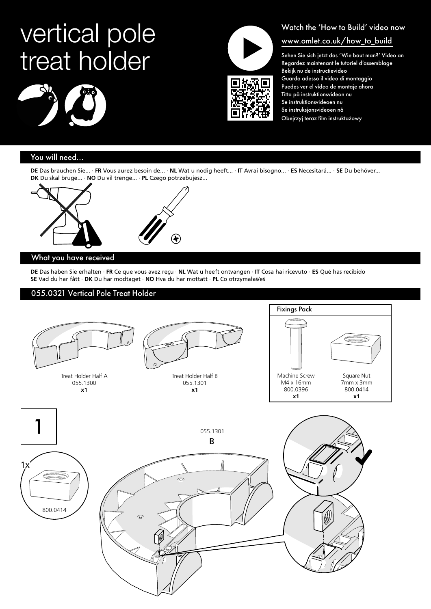# vertical pole treat holder







## Watch the 'How to Build' video now www.omlet.co.uk/how\_to\_build

Sehen Sie sich jetzt das 'Wie baut man?' Video an Regardez maintenant le tutoriel d'assemblage Bekijk nu de instructievideo Guarda adesso il video di montaggio Puedes ver el vídeo de montaje ahora Titta på instruktionsvideon nu Se instruktionsvideoen nu Se instruksjonsvideoen nå Obejrzyj teraz film instruktażowy

### You will need...

**DE** Das brauchen Sie... · **FR** Vous aurez besoin de... · **NL** Wat u nodig heeft... · **IT** Avrai bisogno... · **ES** Necesitará... · **SE** Du behöver... **DK** Du skal bruge... · **NO** Du vil trenge... · **PL** Czego potrzebujesz...



#### What you have received

**DE** Das haben Sie erhalten · **FR** Ce que vous avez reçu · **NL** Wat u heeft ontvangen · **IT** Cosa hai ricevuto · **ES** Qué has recibido **SE** Vad du har fått · **DK** Du har modtaget · **NO** Hva du har mottatt · **PL** Co otrzymałaś/eś

#### 055.0321 Vertical Pole Treat Holder